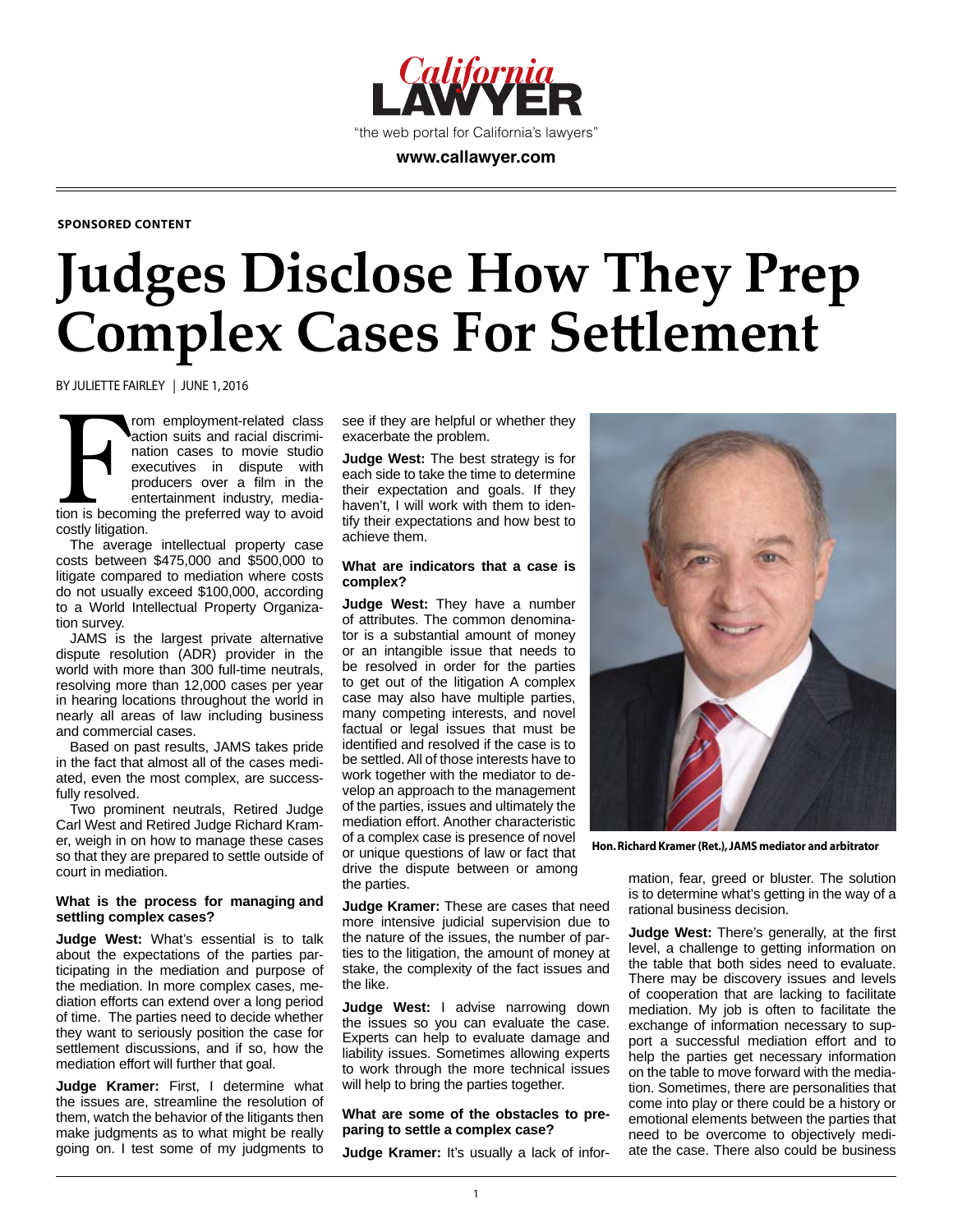

**SPONSORED CONTENT**

# **Judges Disclose How They Prep Complex Cases For Settlement**

BY JULIETTE FAIRLEY | JUNE 1, 2016

From employment-related class<br>action suits and racial discrimi-<br>nation cases to movie studio<br>executives in dispute with<br>producers over a film in the<br>entertainment industry, media-<br>tion is becoming the preferred way to avoi rom employment-related class action suits and racial discrimination cases to movie studio executives in dispute with producers over a film in the entertainment industry, mediacostly litigation.

The average intellectual property case costs between \$475,000 and \$500,000 to litigate compared to mediation where costs do not usually exceed \$100,000, according to a World Intellectual Property Organization survey.

JAMS is the largest private alternative dispute resolution (ADR) provider in the world with more than 300 full-time neutrals, resolving more than 12,000 cases per year in hearing locations throughout the world in nearly all areas of law including business and commercial cases.

Based on past results, JAMS takes pride in the fact that almost all of the cases mediated, even the most complex, are successfully resolved.

Two prominent neutrals, Retired Judge Carl West and Retired Judge Richard Kramer, weigh in on how to manage these cases so that they are prepared to settle outside of court in mediation.

#### **What is the process for managing and settling complex cases?**

**Judge West:** What's essential is to talk about the expectations of the parties participating in the mediation and purpose of the mediation. In more complex cases, mediation efforts can extend over a long period of time. The parties need to decide whether they want to seriously position the case for settlement discussions, and if so, how the mediation effort will further that goal.

**Judge Kramer:** First, I determine what the issues are, streamline the resolution of them, watch the behavior of the litigants then make judgments as to what might be really going on. I test some of my judgments to

see if they are helpful or whether they exacerbate the problem.

**Judge West:** The best strategy is for each side to take the time to determine their expectation and goals. If they haven't, I will work with them to identify their expectations and how best to achieve them.

## **What are indicators that a case is complex?**

**Judge West:** They have a number of attributes. The common denominator is a substantial amount of money or an intangible issue that needs to be resolved in order for the parties to get out of the litigation A complex case may also have multiple parties, many competing interests, and novel factual or legal issues that must be identified and resolved if the case is to be settled. All of those interests have to work together with the mediator to develop an approach to the management of the parties, issues and ultimately the mediation effort. Another characteristic of a complex case is presence of novel or unique questions of law or fact that drive the dispute between or among the parties.

**Judge Kramer:** These are cases that need more intensive judicial supervision due to the nature of the issues, the number of parties to the litigation, the amount of money at stake, the complexity of the fact issues and the like.

**Judge West:** I advise narrowing down the issues so you can evaluate the case. Experts can help to evaluate damage and liability issues. Sometimes allowing experts to work through the more technical issues will help to bring the parties together.

# **What are some of the obstacles to preparing to settle a complex case?**

**Judge Kramer:** It's usually a lack of infor-



**Hon. Richard Kramer (Ret.), JAMS mediator and arbitrator**

mation, fear, greed or bluster. The solution is to determine what's getting in the way of a rational business decision.

**Judge West:** There's generally, at the first level, a challenge to getting information on the table that both sides need to evaluate. There may be discovery issues and levels of cooperation that are lacking to facilitate mediation. My job is often to facilitate the exchange of information necessary to support a successful mediation effort and to help the parties get necessary information on the table to move forward with the mediation. Sometimes, there are personalities that come into play or there could be a history or emotional elements between the parties that need to be overcome to objectively mediate the case. There also could be business